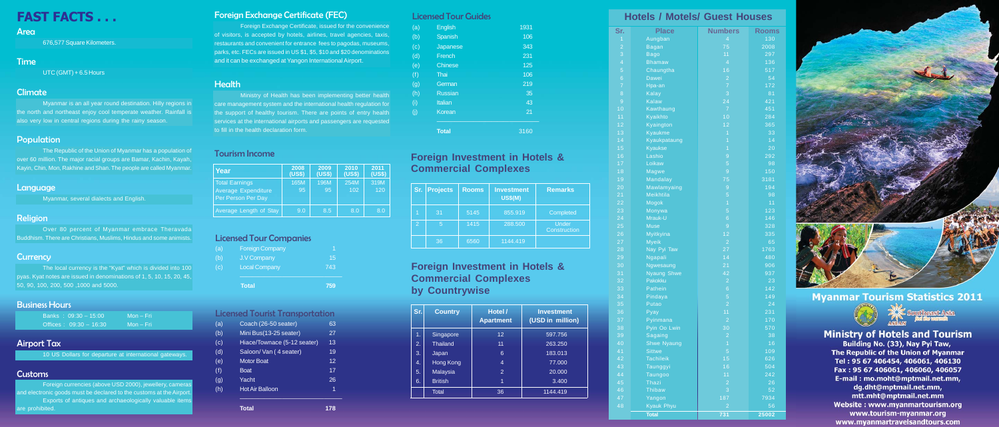# FAST FACTS . . .

#### Area

676,577 Square Kilometers.

Foreign currencies (above USD 2000), jewellery, cameras and electronic goods must be declared to the customs at the Airport. Exports of antiques and archaeologically valuable items re prohibited.

### Time

UTC (GMT) + 6.5 Hours

#### Climate

Myanmar is an all year round destination. Hilly regions in the north and northeast enjoy cool temperate weather. Rainfall is also very low in central regions during the rainy season.

#### Population

The Republic of the Union of Myanmar has a population of over 60 million. The major racial groups are Bamar, Kachin, Kayah, Kayin, Chin, Mon, Rakhine and Shan. The people are called Myanmar.

#### **Language**

Myanmar, several dialects and English.

#### Religion

Over 80 percent of Myanmar embrace Theravada Buddhism. There are Christians, Muslims, Hindus and some animists.

### **Currency**

| Sr.             | <b>Place</b>       | <b>Numbers</b> | Rooms |
|-----------------|--------------------|----------------|-------|
| $\overline{1}$  | Aungban            | $\overline{4}$ | 130   |
| $\overline{a}$  | <b>Bagan</b>       | 75             | 2008  |
| $\overline{3}$  | <b>Bago</b>        | 11             | 297   |
| $\overline{4}$  | <b>Bhamaw</b>      | $\overline{4}$ | 136   |
| 5               | Chaungtha          | 16             | 517   |
| $\overline{6}$  | <b>Dawei</b>       | $\overline{c}$ | 54    |
| $\overline{7}$  | Hpa-an             | $\overline{7}$ | 172   |
| 8               | $K$ alay           | 3              | 81    |
| 9               | <b>Kalaw</b>       | 24             | 421   |
| 10              | Kawthaung          | $\overline{7}$ | 451   |
| 11              | Kyaikhto           | 10             | 284   |
| 12              | Kyaington          | 12             | 365   |
| 13              | Kyaukme            | $\overline{1}$ | 33    |
| 14              | Kyaukpataung       | $\overline{1}$ | 14    |
| 15              | <b>Kyaukse</b>     | $\overline{1}$ | 20    |
| 16              | Lashio             | 9              | 292   |
| 17              | Loikaw             | 5              | 98    |
| 18              | <b>Magwe</b>       | 9              | 150   |
| 19              | <b>Mandalay</b>    | 75             | 3181  |
| 20              | Mawlamyaing        | 9              | 194   |
| 21              | Meikhtila          | 5              | 98    |
| $\overline{22}$ | Mogok              | $\overline{1}$ | 11    |
| 23              | Monywa             | 5              | 123   |
| 24              | Mrauk-U            | $\overline{6}$ | 146   |
| 25              | <b>Muse</b>        | 9              | 328   |
| 26              | Myitkyina          | 12             | 335   |
| 27              | <b>Myeik</b>       | $\overline{c}$ | 65    |
| 28              | Nay Pyi Taw        | 27             | 1763  |
| 29              | Ngapali            | 14             | 480   |
| 30              | Ngwesaung          | 21             | 906   |
| 31              | <b>Nyaung Shwe</b> | 42             | 937   |
| 32              | Pakokku            | $\overline{a}$ | 23    |
| 33              | Pathein            | $\overline{6}$ | 142   |
| 34              | Pindaya            | 5              | 149   |
| 35              | Putao              | $\overline{2}$ | 24    |
| 36              | $P$ yay            | 11             | 231   |
| 37              | Pyinmana           | $\overline{c}$ | 170   |
| 38              | Pyin Oo Lwin       | 30             | 570   |
| 39              | <b>Sagaing</b>     | $\overline{2}$ | 38    |
| 40              | <b>Shwe Nyaung</b> | $\overline{1}$ | 16    |
| 41              | Sittwe             | 5              | 109   |
| 42              | <b>Tachileik</b>   | 15             | 626   |
| 43              | Taunggyi           | 16             | 504   |
| 44              | Taungoo            | 11             | 242   |
| 45              | Thazi              | $\overline{a}$ | 26    |
| 46              | <b>Thibaw</b>      | 3              | 52    |
| 47              | Yangon             | 187            | 7934  |
| 48              | <b>Kyauk Phyu</b>  | $\overline{2}$ | 56    |
|                 | <b>Total</b>       | 731            | 25002 |



## **Myanmar Tourism Statistics 2011**



**Ministry of Hotels and Tourism** 

Building No. (33), Nay Pyi Taw, The Republic of the Union of Myanmar Tel: 95 67 406454, 406061, 406130 Fax: 95 67 406061, 406060, 406057 E-mail: mo.moht@mptmail.net.mm, dg.dht@mptmail.net.mm, mtt.mht@mptmail.net.mm Website: www.myanmartourism.org www.tourism-myanmar.org www.myanmartravelsandtours.com

The local currency is the "Kyat" which is divided into 100 pyas. Kyat notes are issued in denominations of 1, 5, 10, 15, 20, 45, 50, 90, 100, 200, 500 ,1000 and 5000.

### Business Hours

| Banks: $09:30 - 15:00$   | Mon – Fri |
|--------------------------|-----------|
| Offices: $09:30 - 16:30$ | Mon – Fri |

### Airport Tax

10 US Dollars for departure at international gateways.

### **Customs**

## Foreign Exchange Certificate (FEC)

Foreign Exchange Certificate, issued for the convenience of visitors, is accepted by hotels, airlines, travel agencies, taxis, restaurants and convenient for entrance fees to pagodas, museums, parks, etc. FECs are issued in US \$1, \$5, \$10 and \$20 denominations and it can be exchanged at Yangon International Airport.

#### **Health**

Ministry of Health has been implementing better health care management system and the international health regulation for the support of healthy tourism. There are points of entry health services at the international airports and passengers are requested to fill in the health declaration form.

#### Tourism Income

### Licensed Tour Companies

|     | Total                  | 759 |
|-----|------------------------|-----|
| (c) | <b>Local Company</b>   | 743 |
| (b) | <b>J.V Company</b>     | 15  |
| (a) | <b>Foreign Company</b> |     |

#### Licensed Tourist Transportation

| (a) | Coach (26-50 seater)        | 63 |
|-----|-----------------------------|----|
| (b) | Mini Bus(13-25 seater)      | 27 |
| (c) | Hiace/Townace (5-12 seater) | 13 |
| (d) | Saloon/ Van (4 seater)      | 19 |
| (e) | <b>Motor Boat</b>           | 12 |
| (f) | <b>Boat</b>                 | 17 |
| (g) | Yacht                       | 26 |
| (h) | <b>Hot Air Balloon</b>      | 1  |
|     |                             |    |

| icensed Tour Guides |  |  |
|---------------------|--|--|
|                     |  |  |

| <b>Total</b>   | 3160 |
|----------------|------|
| Korean         | 21   |
| <b>Italian</b> | 43   |
| <b>Russian</b> | 35   |
| German         | 219  |
| Thai           | 106  |
| <b>Chinese</b> | 125  |
| French         | 231  |
| Japanese       | 343  |
| Spanish        | 106  |
| <b>English</b> | 1931 |
|                |      |

| Year                                                                      | 2008<br>(US\$) | 2009<br>(US\$) | 2010<br>(US\$) | 2011<br>(US\$) |
|---------------------------------------------------------------------------|----------------|----------------|----------------|----------------|
| <b>Total Earnings</b><br><b>Average Expenditure</b><br>Per Person Per Day | 165M<br>95     | 196M<br>95     | 254M<br>102    | 319M<br>120    |
| Average Length of Stay                                                    | 9.0            | 8.5            | 8.0            | 8.0            |

## **Foreign Investment in Hotels & Commercial Complexes by Countrywise**

| Sr. | <b>Projects</b> | <b>Rooms</b> | <b>Investment</b><br><b>US\$(M)</b> | <b>Remarks</b>               |
|-----|-----------------|--------------|-------------------------------------|------------------------------|
| и   | 31              | 5145         | 855.919                             | Completed                    |
| 2   | 5               | 1415         | 288,500                             | Under<br><b>Construction</b> |
|     | 36              | 6560         | 1144.419                            |                              |

| Sr. | <b>Country</b>  | Hotel /<br><b>Apartment</b> | <b>Investment</b><br>(USD in million) |
|-----|-----------------|-----------------------------|---------------------------------------|
| 1.  | Singapore       | $12 \overline{ }$           | 597.756                               |
| 2.  | <b>Thailand</b> | 11                          | 263.250                               |
| 3.  | Japan           | 6                           | 183.013                               |
| 4.  | Hong Kong       | 4                           | 77.000                                |
| 5.  | <b>Malaysia</b> | 2                           | 20.000                                |
| 6.  | <b>British</b>  | 1                           | 3.400                                 |
|     | <b>Total</b>    | 36                          | 1144.419                              |

## **Hotels / Motels/ Guest Houses**

## **Foreign Investment in Hotels & Commercial Complexes**